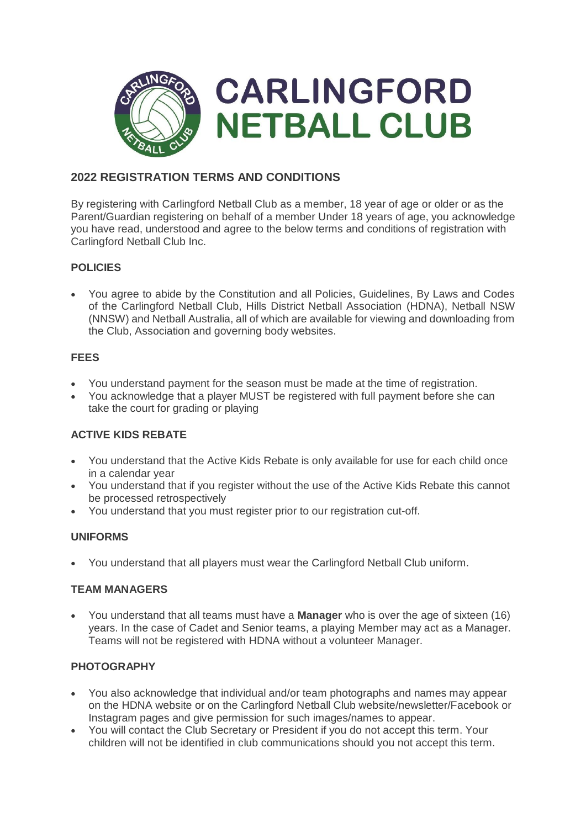

# **2022 REGISTRATION TERMS AND CONDITIONS**

By registering with Carlingford Netball Club as a member, 18 year of age or older or as the Parent/Guardian registering on behalf of a member Under 18 years of age, you acknowledge you have read, understood and agree to the below terms and conditions of registration with Carlingford Netball Club Inc.

# **POLICIES**

 You agree to abide by the Constitution and all Policies, Guidelines, By Laws and Codes of the Carlingford Netball Club, Hills District Netball Association (HDNA), Netball NSW (NNSW) and Netball Australia, all of which are available for viewing and downloading from the Club, Association and governing body websites.

#### **FEES**

- You understand payment for the season must be made at the time of registration.
- You acknowledge that a player MUST be registered with full payment before she can take the court for grading or playing

# **ACTIVE KIDS REBATE**

- You understand that the Active Kids Rebate is only available for use for each child once in a calendar year
- You understand that if you register without the use of the Active Kids Rebate this cannot be processed retrospectively
- You understand that you must register prior to our registration cut-off.

#### **UNIFORMS**

You understand that all players must wear the Carlingford Netball Club uniform.

#### **TEAM MANAGERS**

 You understand that all teams must have a **Manager** who is over the age of sixteen (16) years. In the case of Cadet and Senior teams, a playing Member may act as a Manager. Teams will not be registered with HDNA without a volunteer Manager.

# **PHOTOGRAPHY**

- You also acknowledge that individual and/or team photographs and names may appear on the HDNA website or on the Carlingford Netball Club website/newsletter/Facebook or Instagram pages and give permission for such images/names to appear.
- You will contact the Club Secretary or President if you do not accept this term. Your children will not be identified in club communications should you not accept this term.